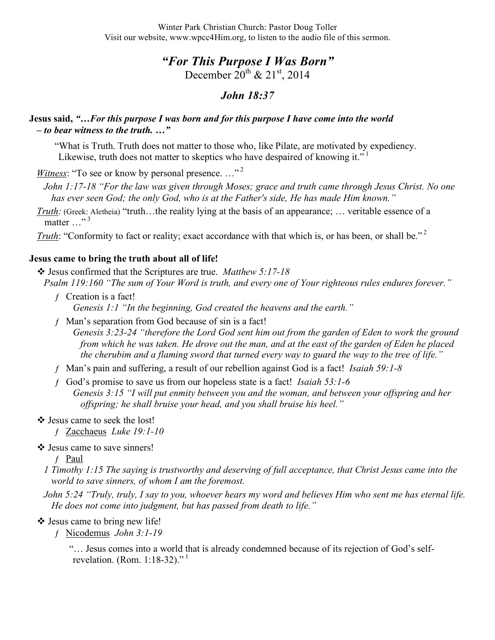# *"For This Purpose I Was Born"*

December  $20^{th}$  &  $21^{st}$ , 2014

## *John 18:37*

#### **Jesus said,** *"…For this purpose I was born and for this purpose I have come into the world – to bear witness to the truth. …"*

"What is Truth. Truth does not matter to those who, like Pilate, are motivated by expediency. Likewise, truth does not matter to skeptics who have despaired of knowing it."<sup>1</sup>

*Witness*: "To see or know by personal presence..."<sup>2</sup>

- *John 1:17-18 "For the law was given through Moses; grace and truth came through Jesus Christ. No one has ever seen God; the only God, who is at the Father's side, He has made Him known."*
- *Truth:* (Greek: Aletheia) "truth...the reality lying at the basis of an appearance; ... veritable essence of a matter  $\ldots$ <sup>3</sup>

*Truth*: "Conformity to fact or reality; exact accordance with that which is, or has been, or shall be."<sup>2</sup>

#### **Jesus came to bring the truth about all of life!**

 Jesus confirmed that the Scriptures are true. *Matthew 5:17-18 Psalm 119:160 "The sum of Your Word is truth, and every one of Your righteous rules endures forever."*

- $f$  Creation is a fact! *Genesis 1:1 "In the beginning, God created the heavens and the earth."*
- ƒ Man's separation from God because of sin is a fact! *Genesis 3:23-24 "therefore the Lord God sent him out from the garden of Eden to work the ground from which he was taken. He drove out the man, and at the east of the garden of Eden he placed the cherubim and a flaming sword that turned every way to guard the way to the tree of life."*
- ƒ Man's pain and suffering, a result of our rebellion against God is a fact! *Isaiah 59:1-8*
- ƒ God's promise to save us from our hopeless state is a fact! *Isaiah 53:1-6 Genesis 3:15 "I will put enmity between you and the woman, and between your offspring and her offspring; he shall bruise your head, and you shall bruise his heel."*

#### Jesus came to seek the lost!

ƒ Zacchaeus *Luke 19:1-10*

Jesus came to save sinners!

ƒ Paul

- *1 Timothy 1:15 The saying is trustworthy and deserving of full acceptance, that Christ Jesus came into the world to save sinners, of whom I am the foremost.*
- *John 5:24 "Truly, truly, I say to you, whoever hears my word and believes Him who sent me has eternal life. He does not come into judgment, but has passed from death to life."*

### $\triangleleft$  Jesus came to bring new life!

ƒ Nicodemus *John 3:1-19*

"… Jesus comes into a world that is already condemned because of its rejection of God's selfrevelation. (Rom. 1:18-32)."<sup>1</sup>